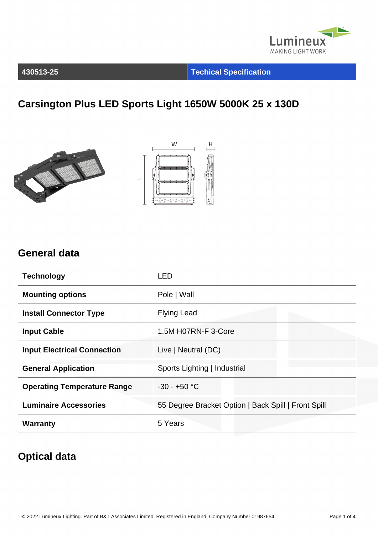

**430513-25 Techical Specification**

## **Carsington Plus LED Sports Light 1650W 5000K 25 x 130D**





#### **General data**

| <b>Technology</b>                  | LED                                                 |
|------------------------------------|-----------------------------------------------------|
| <b>Mounting options</b>            | Pole   Wall                                         |
| <b>Install Connector Type</b>      | <b>Flying Lead</b>                                  |
| <b>Input Cable</b>                 | 1.5M H07RN-F 3-Core                                 |
| <b>Input Electrical Connection</b> | Live   Neutral (DC)                                 |
| <b>General Application</b>         | Sports Lighting   Industrial                        |
| <b>Operating Temperature Range</b> | $-30 - +50$ °C                                      |
| <b>Luminaire Accessories</b>       | 55 Degree Bracket Option   Back Spill   Front Spill |
| <b>Warranty</b>                    | 5 Years                                             |

#### **Optical data**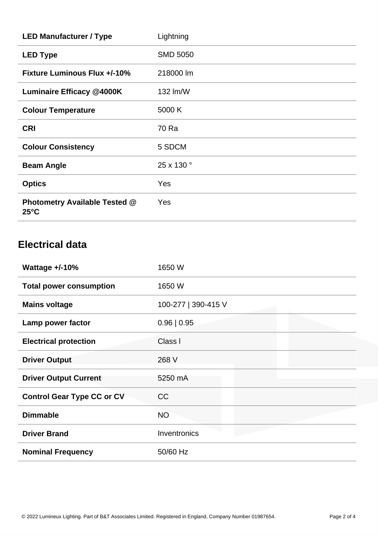| <b>LED Manufacturer / Type</b>                         | Lightning       |
|--------------------------------------------------------|-----------------|
| <b>LED Type</b>                                        | <b>SMD 5050</b> |
| <b>Fixture Luminous Flux +/-10%</b>                    | 218000 lm       |
| <b>Luminaire Efficacy @4000K</b>                       | 132 Im/W        |
| <b>Colour Temperature</b>                              | 5000 K          |
| <b>CRI</b>                                             | 70 Ra           |
| <b>Colour Consistency</b>                              | 5 SDCM          |
| <b>Beam Angle</b>                                      | 25 x 130 °      |
| <b>Optics</b>                                          | <b>Yes</b>      |
| <b>Photometry Available Tested @</b><br>$25^{\circ}$ C | <b>Yes</b>      |

## **Electrical data**

| Wattage $+/-10%$                  | 1650 W              |
|-----------------------------------|---------------------|
| <b>Total power consumption</b>    | 1650 W              |
| <b>Mains voltage</b>              | 100-277   390-415 V |
| Lamp power factor                 | 0.96   0.95         |
| <b>Electrical protection</b>      | Class I             |
| <b>Driver Output</b>              | 268 V               |
| <b>Driver Output Current</b>      | 5250 mA             |
| <b>Control Gear Type CC or CV</b> | CC                  |
| <b>Dimmable</b>                   | <b>NO</b>           |
| <b>Driver Brand</b>               | Inventronics        |
| <b>Nominal Frequency</b>          | 50/60 Hz            |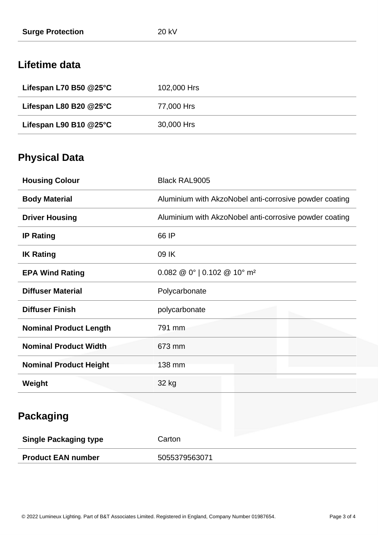### **Lifetime data**

| Lifespan L70 B50 $@25$ °C             | 102,000 Hrs |
|---------------------------------------|-------------|
| Lifespan L80 B20 $@25^\circ \text{C}$ | 77,000 Hrs  |
| Lifespan L90 B10 $@25$ °C             | 30,000 Hrs  |

## **Physical Data**

| <b>Housing Colour</b>         | <b>Black RAL9005</b>                                          |
|-------------------------------|---------------------------------------------------------------|
| <b>Body Material</b>          | Aluminium with AkzoNobel anti-corrosive powder coating        |
| <b>Driver Housing</b>         | Aluminium with AkzoNobel anti-corrosive powder coating        |
| <b>IP Rating</b>              | 66 IP                                                         |
| <b>IK Rating</b>              | 09 IK                                                         |
| <b>EPA Wind Rating</b>        | $0.082 \ @ 0^{\circ}$   0.102 $\ @ 10^{\circ}$ m <sup>2</sup> |
| <b>Diffuser Material</b>      | Polycarbonate                                                 |
| <b>Diffuser Finish</b>        | polycarbonate                                                 |
| <b>Nominal Product Length</b> | 791 mm                                                        |
| <b>Nominal Product Width</b>  | 673 mm                                                        |
| <b>Nominal Product Height</b> | 138 mm                                                        |
| Weight                        | 32 kg                                                         |

| <b>Single Packaging type</b> | Carton        |
|------------------------------|---------------|
| <b>Product EAN number</b>    | 5055379563071 |